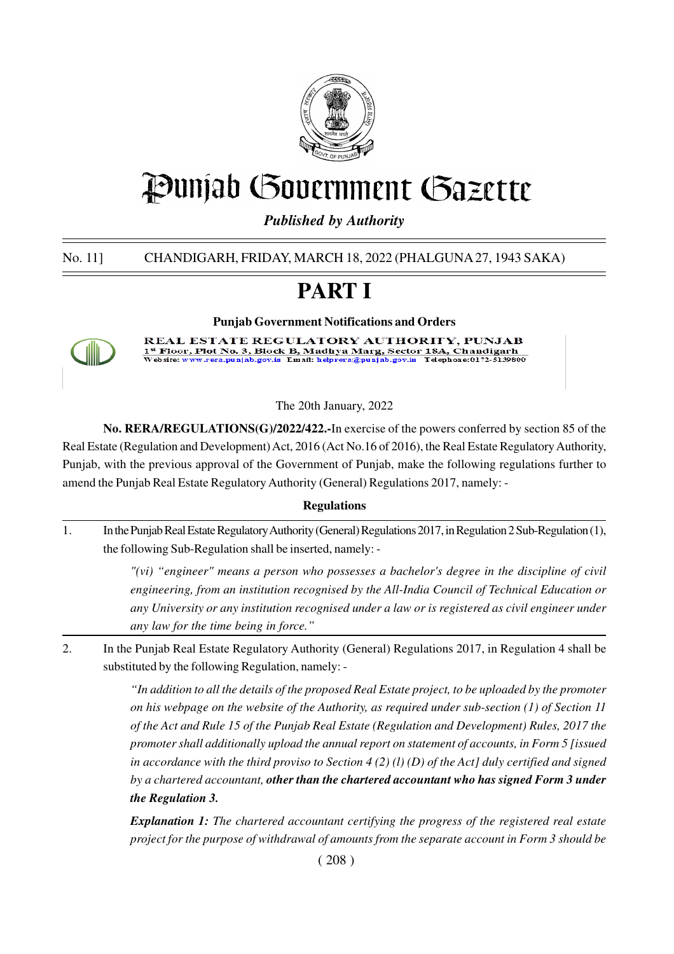

# Punjab Government Gazette

*Published by Authority*

No. 11] CHANDIGARH, FRIDAY, MARCH 18, 2022 (PHALGUNA 27, 1943 SAKA)

# **PART I**

**Punjab Government Notifications and Orders REAL ESTATE REGULATORY AUTHORITY, PUNJAB** - Index Plot No. 3, Block B, Madhya Marg, Sector 184, Chandigarh<br>ebsite: www.rera.punjab.gov.in Email: helprera@punjab.gov.in Telephone:0172-8139800 1<sup>st</sup> Floo)<br>Website: v

The 20th January, 2022

**No. RERA/REGULATIONS(G)/2022/422.-**In exercise of the powers conferred by section 85 of the Real Estate (Regulation and Development) Act, 2016 (Act No.16 of 2016), the Real Estate Regulatory Authority, Punjab, with the previous approval of the Government of Punjab, make the following regulations further to amend the Punjab Real Estate Regulatory Authority (General) Regulations 2017, namely: -

### **Regulations**

1. In the Punjab Real Estate Regulatory Authority (General) Regulations 2017, in Regulation 2 Sub-Regulation (1), the following Sub-Regulation shall be inserted, namely: -

> *"(vi) "engineer" means a person who possesses a bachelor's degree in the discipline of civil engineering, from an institution recognised by the All-India Council of Technical Education or any University or any institution recognised under a law or is registered as civil engineer under any law for the time being in force."*

2. In the Punjab Real Estate Regulatory Authority (General) Regulations 2017, in Regulation 4 shall be substituted by the following Regulation, namely: -

> *"In addition to all the details of the proposed Real Estate project, to be uploaded by the promoter on his webpage on the website of the Authority, as required under sub-section (1) of Section 11 of the Act and Rule 15 of the Punjab Real Estate (Regulation and Development) Rules, 2017 the promoter shall additionally upload the annual report on statement of accounts, in Form 5 [issued in accordance with the third proviso to Section 4 (2) (l) (D) of the Act] duly certified and signed by a chartered accountant, other than the chartered accountant who has signed Form 3 under the Regulation 3.*

> *Explanation 1: The chartered accountant certifying the progress of the registered real estate project for the purpose of withdrawal of amounts from the separate account in Form 3 should be*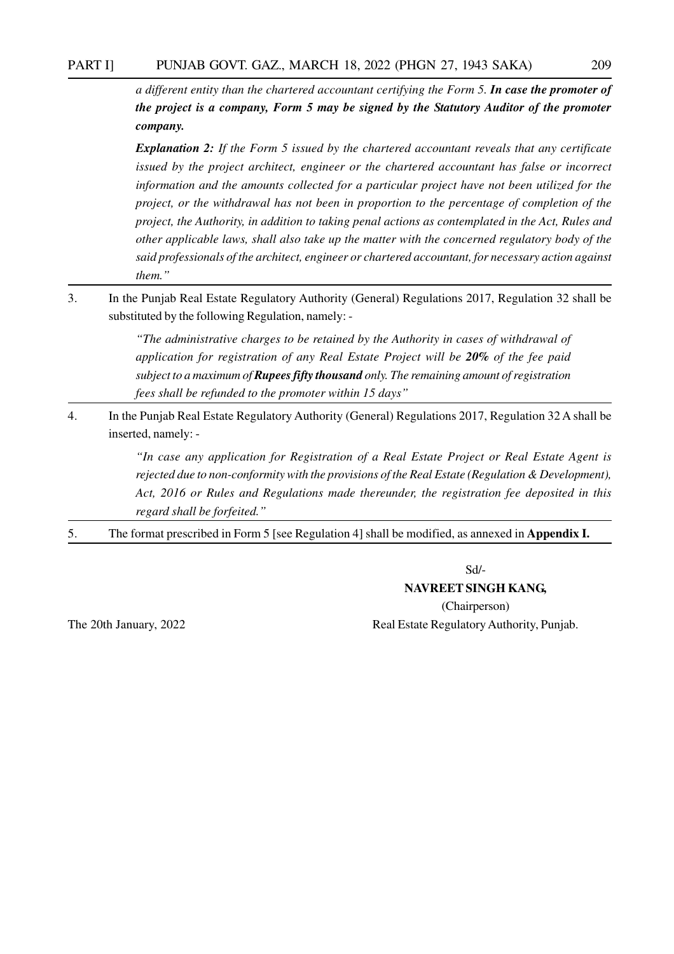#### PART I] PUNJAB GOVT. GAZ., MARCH 18, 2022 (PHGN 27, 1943 SAKA) 209

*a different entity than the chartered accountant certifying the Form 5. In case the promoter of the project is a company, Form 5 may be signed by the Statutory Auditor of the promoter company.*

*Explanation 2: If the Form 5 issued by the chartered accountant reveals that any certificate issued by the project architect, engineer or the chartered accountant has false or incorrect information and the amounts collected for a particular project have not been utilized for the project, or the withdrawal has not been in proportion to the percentage of completion of the project, the Authority, in addition to taking penal actions as contemplated in the Act, Rules and other applicable laws, shall also take up the matter with the concerned regulatory body of the said professionals of the architect, engineer or chartered accountant, for necessary action against them."*

3. In the Punjab Real Estate Regulatory Authority (General) Regulations 2017, Regulation 32 shall be substituted by the following Regulation, namely: -

> *"The administrative charges to be retained by the Authority in cases of withdrawal of application for registration of any Real Estate Project will be 20% of the fee paid subject to a maximum of Rupees fifty thousand only. The remaining amount of registration fees shall be refunded to the promoter within 15 days"*

4. In the Punjab Real Estate Regulatory Authority (General) Regulations 2017, Regulation 32 A shall be inserted, namely: -

> *"In case any application for Registration of a Real Estate Project or Real Estate Agent is rejected due to non-conformity with the provisions of the Real Estate (Regulation & Development), Act, 2016 or Rules and Regulations made thereunder, the registration fee deposited in this regard shall be forfeited."*

5. The format prescribed in Form 5 [see Regulation 4] shall be modified, as annexed in **Appendix I.**

Sd/-

#### **NAVREET SINGH KANG,**

(Chairperson) The 20th January, 2022 Real Estate Regulatory Authority, Punjab.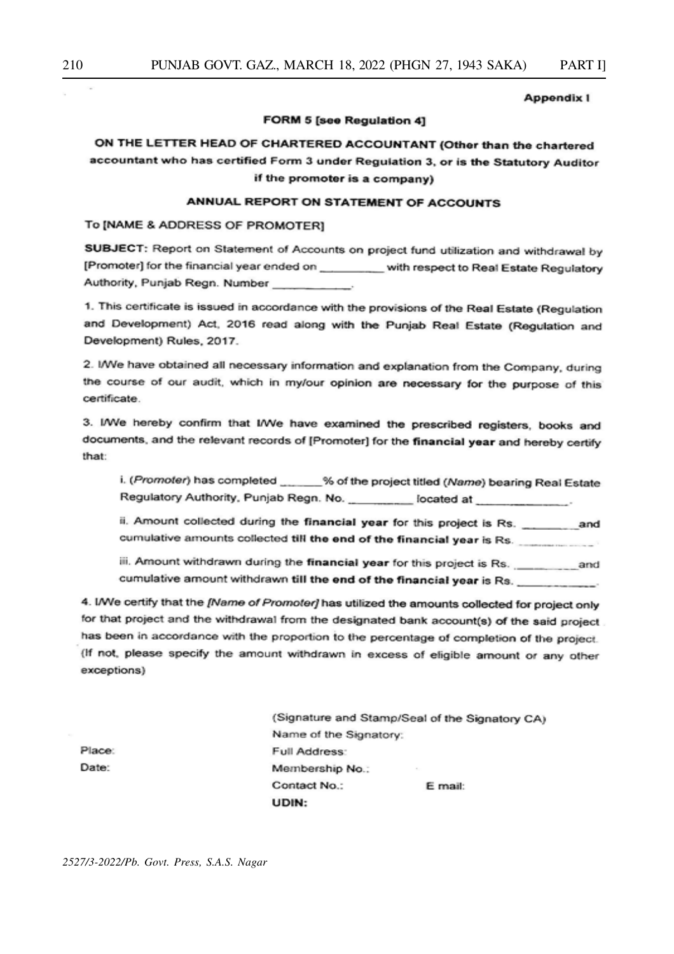#### **Appendix I**

#### **FORM 5 [see Regulation 4]**

## ON THE LETTER HEAD OF CHARTERED ACCOUNTANT (Other than the chartered accountant who has certified Form 3 under Regulation 3, or is the Statutory Auditor if the promoter is a company)

#### ANNUAL REPORT ON STATEMENT OF ACCOUNTS

#### To [NAME & ADDRESS OF PROMOTER]

SUBJECT: Report on Statement of Accounts on project fund utilization and withdrawal by [Promoter] for the financial year ended on \_\_\_\_\_\_\_\_\_ with respect to Real Estate Regulatory Authority, Punjab Regn. Number

1. This certificate is issued in accordance with the provisions of the Real Estate (Regulation and Development) Act, 2016 read along with the Punjab Real Estate (Regulation and Development) Rules, 2017.

2. I/We have obtained all necessary information and explanation from the Company, during the course of our audit, which in my/our opinion are necessary for the purpose of this certificate.

3. I/We hereby confirm that I/We have examined the prescribed registers, books and documents, and the relevant records of [Promoter] for the financial year and hereby certify that:

i. (Promoter) has completed \_\_\_\_\_\_% of the project titled (Name) bearing Real Estate Regulatory Authority, Punjab Regn. No. \_\_\_\_\_\_\_\_\_\_ located at \_\_\_\_\_\_\_\_\_\_\_\_.

cumulative amounts collected till the end of the financial year is Rs.

cumulative amount withdrawn till the end of the financial year is Rs.

4. I/We certify that the [Name of Promoter] has utilized the amounts collected for project only for that project and the withdrawal from the designated bank account(s) of the said project has been in accordance with the proportion to the percentage of completion of the project. (If not, please specify the amount withdrawn in excess of eligible amount or any other exceptions)

|                        | (Signature and Stamp/Seal of the Signatory CA) |
|------------------------|------------------------------------------------|
| Name of the Signatory: |                                                |
| Full Address:          |                                                |
| Membership No.:        | $\sim$                                         |
| Contact No.:           | E mail:                                        |
| UDIN:                  |                                                |

Place: Date: